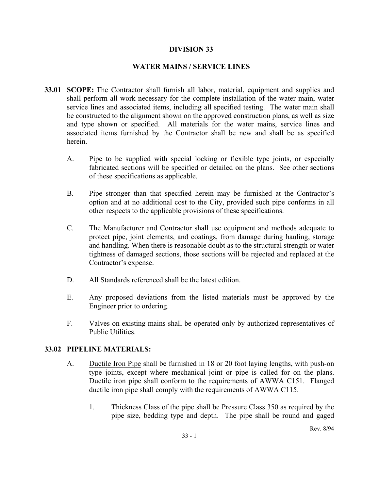### **DIVISION 33**

### **WATER MAINS / SERVICE LINES**

- **33.01 SCOPE:** The Contractor shall furnish all labor, material, equipment and supplies and shall perform all work necessary for the complete installation of the water main, water service lines and associated items, including all specified testing. The water main shall be constructed to the alignment shown on the approved construction plans, as well as size and type shown or specified. All materials for the water mains, service lines and associated items furnished by the Contractor shall be new and shall be as specified herein.
	- A. Pipe to be supplied with special locking or flexible type joints, or especially fabricated sections will be specified or detailed on the plans. See other sections of these specifications as applicable.
	- B. Pipe stronger than that specified herein may be furnished at the Contractor's option and at no additional cost to the City, provided such pipe conforms in all other respects to the applicable provisions of these specifications.
	- C. The Manufacturer and Contractor shall use equipment and methods adequate to protect pipe, joint elements, and coatings, from damage during hauling, storage and handling. When there is reasonable doubt as to the structural strength or water tightness of damaged sections, those sections will be rejected and replaced at the Contractor's expense.
	- D. All Standards referenced shall be the latest edition.
	- E. Any proposed deviations from the listed materials must be approved by the Engineer prior to ordering.
	- F. Valves on existing mains shall be operated only by authorized representatives of Public Utilities.

#### **33.02 PIPELINE MATERIALS:**

- A. Ductile Iron Pipe shall be furnished in 18 or 20 foot laying lengths, with push-on type joints, except where mechanical joint or pipe is called for on the plans. Ductile iron pipe shall conform to the requirements of AWWA C151. Flanged ductile iron pipe shall comply with the requirements of AWWA C115.
	- 1. Thickness Class of the pipe shall be Pressure Class 350 as required by the pipe size, bedding type and depth. The pipe shall be round and gaged

Rev. 8/94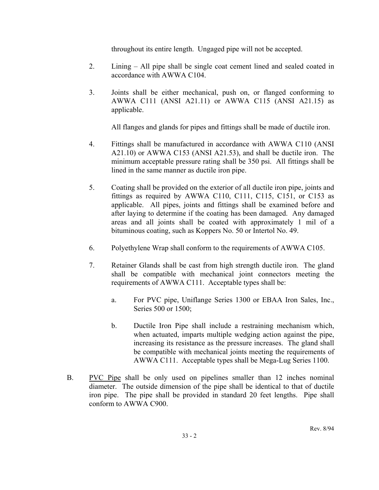throughout its entire length. Ungaged pipe will not be accepted.

- 2. Lining All pipe shall be single coat cement lined and sealed coated in accordance with AWWA C104.
- 3. Joints shall be either mechanical, push on, or flanged conforming to AWWA C111 (ANSI A21.11) or AWWA C115 (ANSI A21.15) as applicable.

All flanges and glands for pipes and fittings shall be made of ductile iron.

- 4. Fittings shall be manufactured in accordance with AWWA C110 (ANSI A21.10) or AWWA C153 (ANSI A21.53), and shall be ductile iron. The minimum acceptable pressure rating shall be 350 psi. All fittings shall be lined in the same manner as ductile iron pipe.
- 5. Coating shall be provided on the exterior of all ductile iron pipe, joints and fittings as required by AWWA C110, C111, C115, C151, or C153 as applicable. All pipes, joints and fittings shall be examined before and after laying to determine if the coating has been damaged. Any damaged areas and all joints shall be coated with approximately 1 mil of a bituminous coating, such as Koppers No. 50 or Intertol No. 49.
- 6. Polyethylene Wrap shall conform to the requirements of AWWA C105.
- 7. Retainer Glands shall be cast from high strength ductile iron. The gland shall be compatible with mechanical joint connectors meeting the requirements of AWWA C111. Acceptable types shall be:
	- a. For PVC pipe, Uniflange Series 1300 or EBAA Iron Sales, Inc., Series 500 or 1500;
	- b. Ductile Iron Pipe shall include a restraining mechanism which, when actuated, imparts multiple wedging action against the pipe, increasing its resistance as the pressure increases. The gland shall be compatible with mechanical joints meeting the requirements of AWWA C111. Acceptable types shall be Mega-Lug Series 1100.
- B. PVC Pipe shall be only used on pipelines smaller than 12 inches nominal diameter. The outside dimension of the pipe shall be identical to that of ductile iron pipe. The pipe shall be provided in standard 20 feet lengths. Pipe shall conform to AWWA C900.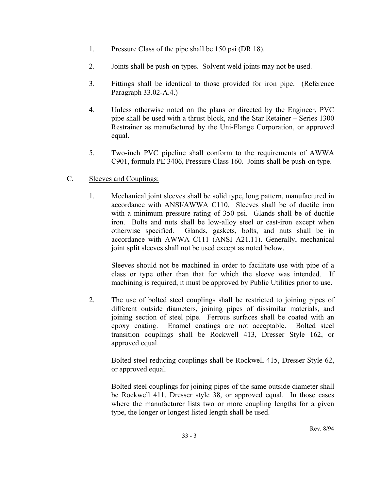- 1. Pressure Class of the pipe shall be 150 psi (DR 18).
- 2. Joints shall be push-on types. Solvent weld joints may not be used.
- 3. Fittings shall be identical to those provided for iron pipe. (Reference Paragraph 33.02-A.4.)
- 4. Unless otherwise noted on the plans or directed by the Engineer, PVC pipe shall be used with a thrust block, and the Star Retainer – Series 1300 Restrainer as manufactured by the Uni-Flange Corporation, or approved equal.
- 5. Two-inch PVC pipeline shall conform to the requirements of AWWA C901, formula PE 3406, Pressure Class 160. Joints shall be push-on type.

# C. Sleeves and Couplings:

1. Mechanical joint sleeves shall be solid type, long pattern, manufactured in accordance with ANSI/AWWA C110. Sleeves shall be of ductile iron with a minimum pressure rating of 350 psi. Glands shall be of ductile iron. Bolts and nuts shall be low-alloy steel or cast-iron except when otherwise specified. Glands, gaskets, bolts, and nuts shall be in accordance with AWWA C111 (ANSI A21.11). Generally, mechanical joint split sleeves shall not be used except as noted below.

Sleeves should not be machined in order to facilitate use with pipe of a class or type other than that for which the sleeve was intended. If machining is required, it must be approved by Public Utilities prior to use.

2. The use of bolted steel couplings shall be restricted to joining pipes of different outside diameters, joining pipes of dissimilar materials, and joining section of steel pipe. Ferrous surfaces shall be coated with an epoxy coating. Enamel coatings are not acceptable. Bolted steel transition couplings shall be Rockwell 413, Dresser Style 162, or approved equal.

 Bolted steel reducing couplings shall be Rockwell 415, Dresser Style 62, or approved equal.

 Bolted steel couplings for joining pipes of the same outside diameter shall be Rockwell 411, Dresser style 38, or approved equal. In those cases where the manufacturer lists two or more coupling lengths for a given type, the longer or longest listed length shall be used.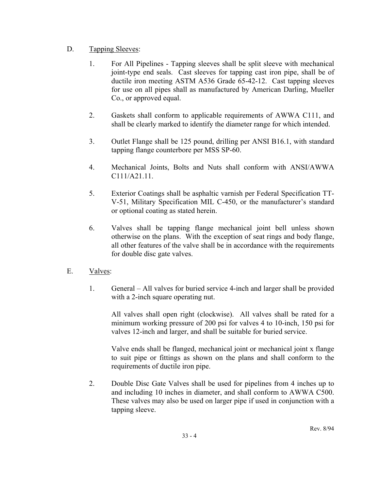# D. Tapping Sleeves:

- 1. For All Pipelines Tapping sleeves shall be split sleeve with mechanical joint-type end seals. Cast sleeves for tapping cast iron pipe, shall be of ductile iron meeting ASTM A536 Grade 65-42-12. Cast tapping sleeves for use on all pipes shall as manufactured by American Darling, Mueller Co., or approved equal.
- 2. Gaskets shall conform to applicable requirements of AWWA C111, and shall be clearly marked to identify the diameter range for which intended.
- 3. Outlet Flange shall be 125 pound, drilling per ANSI B16.1, with standard tapping flange counterbore per MSS SP-60.
- 4. Mechanical Joints, Bolts and Nuts shall conform with ANSI/AWWA C111/A21.11.
- 5. Exterior Coatings shall be asphaltic varnish per Federal Specification TT-V-51, Military Specification MIL C-450, or the manufacturer's standard or optional coating as stated herein.
- 6. Valves shall be tapping flange mechanical joint bell unless shown otherwise on the plans. With the exception of seat rings and body flange, all other features of the valve shall be in accordance with the requirements for double disc gate valves.
- E. Valves:
	- 1. General All valves for buried service 4-inch and larger shall be provided with a 2-inch square operating nut.

 All valves shall open right (clockwise). All valves shall be rated for a minimum working pressure of 200 psi for valves 4 to 10-inch, 150 psi for valves 12-inch and larger, and shall be suitable for buried service.

 Valve ends shall be flanged, mechanical joint or mechanical joint x flange to suit pipe or fittings as shown on the plans and shall conform to the requirements of ductile iron pipe.

2. Double Disc Gate Valves shall be used for pipelines from 4 inches up to and including 10 inches in diameter, and shall conform to AWWA C500. These valves may also be used on larger pipe if used in conjunction with a tapping sleeve.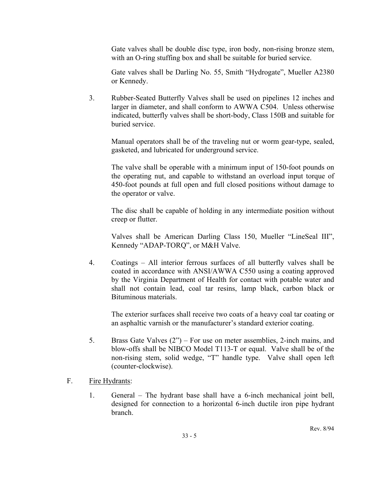Gate valves shall be double disc type, iron body, non-rising bronze stem, with an O-ring stuffing box and shall be suitable for buried service.

 Gate valves shall be Darling No. 55, Smith "Hydrogate", Mueller A2380 or Kennedy.

3. Rubber-Seated Butterfly Valves shall be used on pipelines 12 inches and larger in diameter, and shall conform to AWWA C504. Unless otherwise indicated, butterfly valves shall be short-body, Class 150B and suitable for buried service.

 Manual operators shall be of the traveling nut or worm gear-type, sealed, gasketed, and lubricated for underground service.

 The valve shall be operable with a minimum input of 150-foot pounds on the operating nut, and capable to withstand an overload input torque of 450-foot pounds at full open and full closed positions without damage to the operator or valve.

 The disc shall be capable of holding in any intermediate position without creep or flutter.

 Valves shall be American Darling Class 150, Mueller "LineSeal III", Kennedy "ADAP-TORQ", or M&H Valve.

4. Coatings – All interior ferrous surfaces of all butterfly valves shall be coated in accordance with ANSI/AWWA C550 using a coating approved by the Virginia Department of Health for contact with potable water and shall not contain lead, coal tar resins, lamp black, carbon black or Bituminous materials.

 The exterior surfaces shall receive two coats of a heavy coal tar coating or an asphaltic varnish or the manufacturer's standard exterior coating.

- 5. Brass Gate Valves (2") For use on meter assemblies, 2-inch mains, and blow-offs shall be NIBCO Model T113-T or equal. Valve shall be of the non-rising stem, solid wedge, "T" handle type. Valve shall open left (counter-clockwise).
- F. Fire Hydrants:
	- 1. General The hydrant base shall have a 6-inch mechanical joint bell, designed for connection to a horizontal 6-inch ductile iron pipe hydrant branch.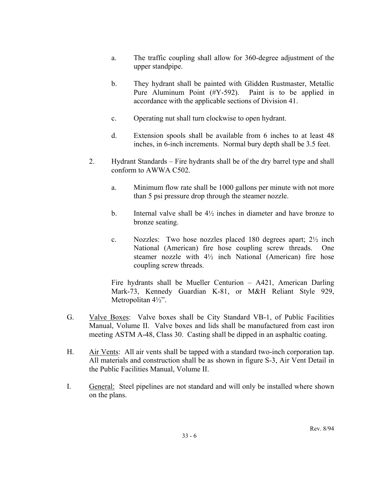- a. The traffic coupling shall allow for 360-degree adjustment of the upper standpipe.
- b. They hydrant shall be painted with Glidden Rustmaster, Metallic Pure Aluminum Point (#Y-592). Paint is to be applied in accordance with the applicable sections of Division 41.
- c. Operating nut shall turn clockwise to open hydrant.
- d. Extension spools shall be available from 6 inches to at least 48 inches, in 6-inch increments. Normal bury depth shall be 3.5 feet.
- 2. Hydrant Standards Fire hydrants shall be of the dry barrel type and shall conform to AWWA C502.
	- a. Minimum flow rate shall be 1000 gallons per minute with not more than 5 psi pressure drop through the steamer nozzle.
	- b. Internal valve shall be  $4\frac{1}{2}$  inches in diameter and have bronze to bronze seating.
	- c. Nozzles: Two hose nozzles placed 180 degrees apart; 2½ inch National (American) fire hose coupling screw threads. One steamer nozzle with 4½ inch National (American) fire hose coupling screw threads.

Fire hydrants shall be Mueller Centurion – A421, American Darling Mark-73, Kennedy Guardian K-81, or M&H Reliant Style 929, Metropolitan 4½".

- G. Valve Boxes: Valve boxes shall be City Standard VB-1, of Public Facilities Manual, Volume II. Valve boxes and lids shall be manufactured from cast iron meeting ASTM A-48, Class 30. Casting shall be dipped in an asphaltic coating.
- H. Air Vents: All air vents shall be tapped with a standard two-inch corporation tap. All materials and construction shall be as shown in figure S-3, Air Vent Detail in the Public Facilities Manual, Volume II.
- I. General: Steel pipelines are not standard and will only be installed where shown on the plans.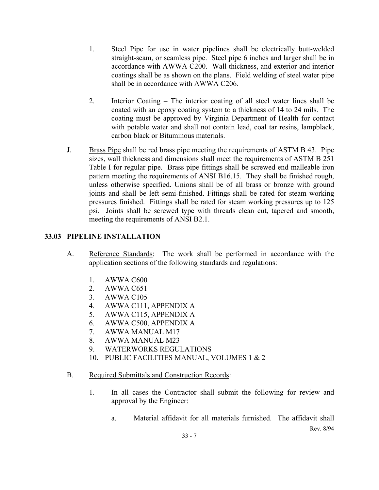- 1. Steel Pipe for use in water pipelines shall be electrically butt-welded straight-seam, or seamless pipe. Steel pipe 6 inches and larger shall be in accordance with AWWA C200. Wall thickness, and exterior and interior coatings shall be as shown on the plans. Field welding of steel water pipe shall be in accordance with AWWA C206.
- 2. Interior Coating The interior coating of all steel water lines shall be coated with an epoxy coating system to a thickness of 14 to 24 mils. The coating must be approved by Virginia Department of Health for contact with potable water and shall not contain lead, coal tar resins, lampblack, carbon black or Bituminous materials.
- J. Brass Pipe shall be red brass pipe meeting the requirements of ASTM B 43. Pipe sizes, wall thickness and dimensions shall meet the requirements of ASTM B 251 Table I for regular pipe. Brass pipe fittings shall be screwed end malleable iron pattern meeting the requirements of ANSI B16.15. They shall be finished rough, unless otherwise specified. Unions shall be of all brass or bronze with ground joints and shall be left semi-finished. Fittings shall be rated for steam working pressures finished. Fittings shall be rated for steam working pressures up to 125 psi. Joints shall be screwed type with threads clean cut, tapered and smooth, meeting the requirements of ANSI B2.1.

# **33.03 PIPELINE INSTALLATION**

- A. Reference Standards: The work shall be performed in accordance with the application sections of the following standards and regulations:
	- 1. AWWA C600
	- 2. AWWA C651
	- 3. AWWA C105
	- 4. AWWA C111, APPENDIX A
	- 5. AWWA C115, APPENDIX A
	- 6. AWWA C500, APPENDIX A
	- 7. AWWA MANUAL M17
	- 8. AWWA MANUAL M23
	- 9. WATERWORKS REGULATIONS
	- 10. PUBLIC FACILITIES MANUAL, VOLUMES 1 & 2
- B. Required Submittals and Construction Records:
	- 1. In all cases the Contractor shall submit the following for review and approval by the Engineer:
		- Rev. 8/94 a. Material affidavit for all materials furnished. The affidavit shall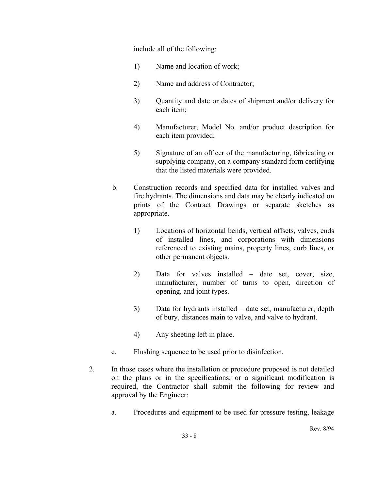include all of the following:

- 1) Name and location of work;
- 2) Name and address of Contractor;
- 3) Quantity and date or dates of shipment and/or delivery for each item;
- 4) Manufacturer, Model No. and/or product description for each item provided;
- 5) Signature of an officer of the manufacturing, fabricating or supplying company, on a company standard form certifying that the listed materials were provided.
- b. Construction records and specified data for installed valves and fire hydrants. The dimensions and data may be clearly indicated on prints of the Contract Drawings or separate sketches as appropriate.
	- 1) Locations of horizontal bends, vertical offsets, valves, ends of installed lines, and corporations with dimensions referenced to existing mains, property lines, curb lines, or other permanent objects.
	- 2) Data for valves installed date set, cover, size, manufacturer, number of turns to open, direction of opening, and joint types.
	- 3) Data for hydrants installed date set, manufacturer, depth of bury, distances main to valve, and valve to hydrant.
	- 4) Any sheeting left in place.
- c. Flushing sequence to be used prior to disinfection.
- 2. In those cases where the installation or procedure proposed is not detailed on the plans or in the specifications; or a significant modification is required, the Contractor shall submit the following for review and approval by the Engineer:
	- a. Procedures and equipment to be used for pressure testing, leakage

Rev. 8/94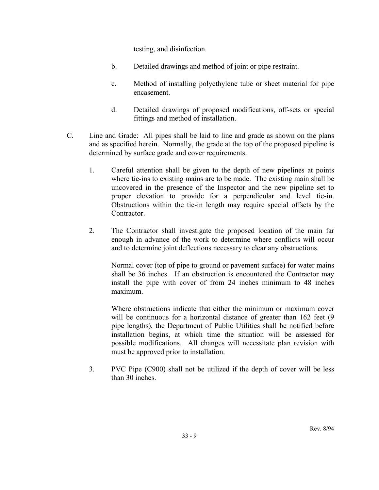testing, and disinfection.

- b. Detailed drawings and method of joint or pipe restraint.
- c. Method of installing polyethylene tube or sheet material for pipe encasement.
- d. Detailed drawings of proposed modifications, off-sets or special fittings and method of installation.
- C. Line and Grade: All pipes shall be laid to line and grade as shown on the plans and as specified herein. Normally, the grade at the top of the proposed pipeline is determined by surface grade and cover requirements.
	- 1. Careful attention shall be given to the depth of new pipelines at points where tie-ins to existing mains are to be made. The existing main shall be uncovered in the presence of the Inspector and the new pipeline set to proper elevation to provide for a perpendicular and level tie-in. Obstructions within the tie-in length may require special offsets by the Contractor.
	- 2. The Contractor shall investigate the proposed location of the main far enough in advance of the work to determine where conflicts will occur and to determine joint deflections necessary to clear any obstructions.

Normal cover (top of pipe to ground or pavement surface) for water mains shall be 36 inches. If an obstruction is encountered the Contractor may install the pipe with cover of from 24 inches minimum to 48 inches maximum.

Where obstructions indicate that either the minimum or maximum cover will be continuous for a horizontal distance of greater than 162 feet (9) pipe lengths), the Department of Public Utilities shall be notified before installation begins, at which time the situation will be assessed for possible modifications. All changes will necessitate plan revision with must be approved prior to installation.

3. PVC Pipe (C900) shall not be utilized if the depth of cover will be less than 30 inches.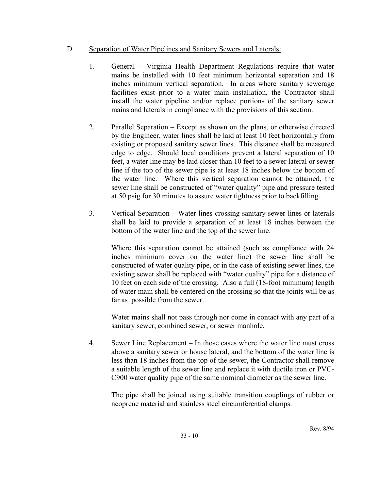# D. Separation of Water Pipelines and Sanitary Sewers and Laterals:

- 1. General Virginia Health Department Regulations require that water mains be installed with 10 feet minimum horizontal separation and 18 inches minimum vertical separation. In areas where sanitary sewerage facilities exist prior to a water main installation, the Contractor shall install the water pipeline and/or replace portions of the sanitary sewer mains and laterals in compliance with the provisions of this section.
- 2. Parallel Separation Except as shown on the plans, or otherwise directed by the Engineer, water lines shall be laid at least 10 feet horizontally from existing or proposed sanitary sewer lines. This distance shall be measured edge to edge. Should local conditions prevent a lateral separation of 10 feet, a water line may be laid closer than 10 feet to a sewer lateral or sewer line if the top of the sewer pipe is at least 18 inches below the bottom of the water line. Where this vertical separation cannot be attained, the sewer line shall be constructed of "water quality" pipe and pressure tested at 50 psig for 30 minutes to assure water tightness prior to backfilling.
- 3. Vertical Separation Water lines crossing sanitary sewer lines or laterals shall be laid to provide a separation of at least 18 inches between the bottom of the water line and the top of the sewer line.

 Where this separation cannot be attained (such as compliance with 24 inches minimum cover on the water line) the sewer line shall be constructed of water quality pipe, or in the case of existing sewer lines, the existing sewer shall be replaced with "water quality" pipe for a distance of 10 feet on each side of the crossing. Also a full (18-foot minimum) length of water main shall be centered on the crossing so that the joints will be as far as possible from the sewer.

 Water mains shall not pass through nor come in contact with any part of a sanitary sewer, combined sewer, or sewer manhole.

4. Sewer Line Replacement – In those cases where the water line must cross above a sanitary sewer or house lateral, and the bottom of the water line is less than 18 inches from the top of the sewer, the Contractor shall remove a suitable length of the sewer line and replace it with ductile iron or PVC-C900 water quality pipe of the same nominal diameter as the sewer line.

The pipe shall be joined using suitable transition couplings of rubber or neoprene material and stainless steel circumferential clamps.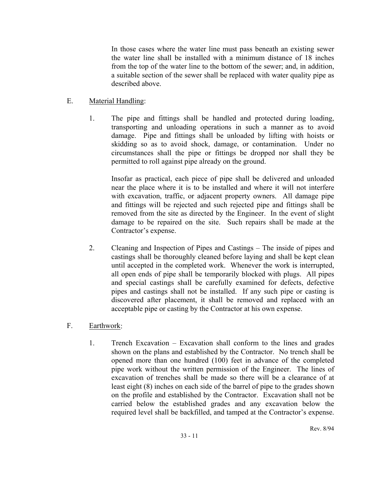In those cases where the water line must pass beneath an existing sewer the water line shall be installed with a minimum distance of 18 inches from the top of the water line to the bottom of the sewer; and, in addition, a suitable section of the sewer shall be replaced with water quality pipe as described above.

# E. Material Handling:

1. The pipe and fittings shall be handled and protected during loading, transporting and unloading operations in such a manner as to avoid damage. Pipe and fittings shall be unloaded by lifting with hoists or skidding so as to avoid shock, damage, or contamination. Under no circumstances shall the pipe or fittings be dropped nor shall they be permitted to roll against pipe already on the ground.

Insofar as practical, each piece of pipe shall be delivered and unloaded near the place where it is to be installed and where it will not interfere with excavation, traffic, or adjacent property owners. All damage pipe and fittings will be rejected and such rejected pipe and fittings shall be removed from the site as directed by the Engineer. In the event of slight damage to be repaired on the site. Such repairs shall be made at the Contractor's expense.

2. Cleaning and Inspection of Pipes and Castings – The inside of pipes and castings shall be thoroughly cleaned before laying and shall be kept clean until accepted in the completed work. Whenever the work is interrupted, all open ends of pipe shall be temporarily blocked with plugs. All pipes and special castings shall be carefully examined for defects, defective pipes and castings shall not be installed. If any such pipe or casting is discovered after placement, it shall be removed and replaced with an acceptable pipe or casting by the Contractor at his own expense.

# F. Earthwork:

1. Trench Excavation – Excavation shall conform to the lines and grades shown on the plans and established by the Contractor. No trench shall be opened more than one hundred (100) feet in advance of the completed pipe work without the written permission of the Engineer. The lines of excavation of trenches shall be made so there will be a clearance of at least eight (8) inches on each side of the barrel of pipe to the grades shown on the profile and established by the Contractor. Excavation shall not be carried below the established grades and any excavation below the required level shall be backfilled, and tamped at the Contractor's expense.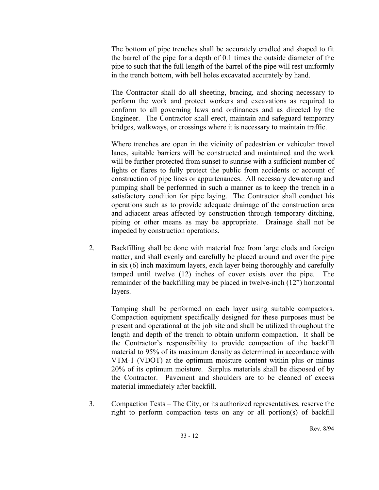The bottom of pipe trenches shall be accurately cradled and shaped to fit the barrel of the pipe for a depth of 0.1 times the outside diameter of the pipe to such that the full length of the barrel of the pipe will rest uniformly in the trench bottom, with bell holes excavated accurately by hand.

The Contractor shall do all sheeting, bracing, and shoring necessary to perform the work and protect workers and excavations as required to conform to all governing laws and ordinances and as directed by the Engineer. The Contractor shall erect, maintain and safeguard temporary bridges, walkways, or crossings where it is necessary to maintain traffic.

Where trenches are open in the vicinity of pedestrian or vehicular travel lanes, suitable barriers will be constructed and maintained and the work will be further protected from sunset to sunrise with a sufficient number of lights or flares to fully protect the public from accidents or account of construction of pipe lines or appurtenances. All necessary dewatering and pumping shall be performed in such a manner as to keep the trench in a satisfactory condition for pipe laying. The Contractor shall conduct his operations such as to provide adequate drainage of the construction area and adjacent areas affected by construction through temporary ditching, piping or other means as may be appropriate. Drainage shall not be impeded by construction operations.

2. Backfilling shall be done with material free from large clods and foreign matter, and shall evenly and carefully be placed around and over the pipe in six (6) inch maximum layers, each layer being thoroughly and carefully tamped until twelve (12) inches of cover exists over the pipe. The remainder of the backfilling may be placed in twelve-inch (12") horizontal layers.

 Tamping shall be performed on each layer using suitable compactors. Compaction equipment specifically designed for these purposes must be present and operational at the job site and shall be utilized throughout the length and depth of the trench to obtain uniform compaction. It shall be the Contractor's responsibility to provide compaction of the backfill material to 95% of its maximum density as determined in accordance with VTM-1 (VDOT) at the optimum moisture content within plus or minus 20% of its optimum moisture. Surplus materials shall be disposed of by the Contractor. Pavement and shoulders are to be cleaned of excess material immediately after backfill.

3. Compaction Tests – The City, or its authorized representatives, reserve the right to perform compaction tests on any or all portion(s) of backfill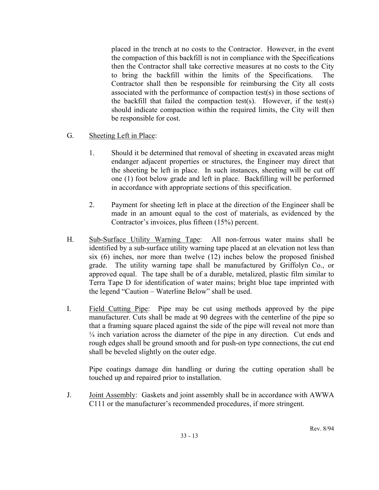placed in the trench at no costs to the Contractor. However, in the event the compaction of this backfill is not in compliance with the Specifications then the Contractor shall take corrective measures at no costs to the City to bring the backfill within the limits of the Specifications. The Contractor shall then be responsible for reimbursing the City all costs associated with the performance of compaction test(s) in those sections of the backfill that failed the compaction test(s). However, if the test(s) should indicate compaction within the required limits, the City will then be responsible for cost.

- G. Sheeting Left in Place:
	- 1. Should it be determined that removal of sheeting in excavated areas might endanger adjacent properties or structures, the Engineer may direct that the sheeting be left in place. In such instances, sheeting will be cut off one (1) foot below grade and left in place. Backfilling will be performed in accordance with appropriate sections of this specification.
	- 2. Payment for sheeting left in place at the direction of the Engineer shall be made in an amount equal to the cost of materials, as evidenced by the Contractor's invoices, plus fifteen (15%) percent.
- H. Sub-Surface Utility Warning Tape: All non-ferrous water mains shall be identified by a sub-surface utility warning tape placed at an elevation not less than six (6) inches, nor more than twelve (12) inches below the proposed finished grade. The utility warning tape shall be manufactured by Griffolyn Co., or approved equal. The tape shall be of a durable, metalized, plastic film similar to Terra Tape D for identification of water mains; bright blue tape imprinted with the legend "Caution – Waterline Below" shall be used.
- I. Field Cutting Pipe: Pipe may be cut using methods approved by the pipe manufacturer. Cuts shall be made at 90 degrees with the centerline of the pipe so that a framing square placed against the side of the pipe will reveal not more than ¼ inch variation across the diameter of the pipe in any direction. Cut ends and rough edges shall be ground smooth and for push-on type connections, the cut end shall be beveled slightly on the outer edge.

 Pipe coatings damage din handling or during the cutting operation shall be touched up and repaired prior to installation.

J. Joint Assembly: Gaskets and joint assembly shall be in accordance with AWWA C111 or the manufacturer's recommended procedures, if more stringent.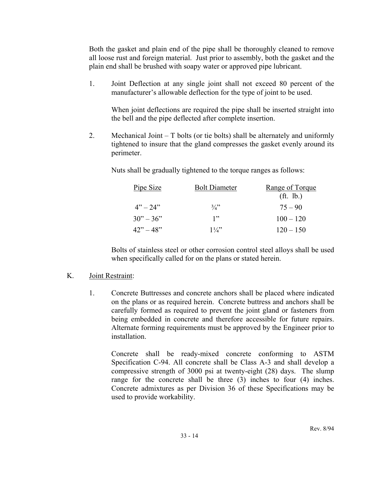Both the gasket and plain end of the pipe shall be thoroughly cleaned to remove all loose rust and foreign material. Just prior to assembly, both the gasket and the plain end shall be brushed with soapy water or approved pipe lubricant.

1. Joint Deflection at any single joint shall not exceed 80 percent of the manufacturer's allowable deflection for the type of joint to be used.

 When joint deflections are required the pipe shall be inserted straight into the bell and the pipe deflected after complete insertion.

2. Mechanical Joint – T bolts (or tie bolts) shall be alternately and uniformly tightened to insure that the gland compresses the gasket evenly around its perimeter.

Nuts shall be gradually tightened to the torque ranges as follows:

| Pipe Size   | <b>Bolt Diameter</b> | Range of Torque        |
|-------------|----------------------|------------------------|
|             |                      | (f <sup>t</sup> , lb.) |
| $4" - 24"$  | $\frac{3}{4}$        | $75 - 90$              |
| $30" - 36"$ | 1"                   | $100 - 120$            |
| $42" - 48"$ | $1\frac{1}{4}$       | $120 - 150$            |

Bolts of stainless steel or other corrosion control steel alloys shall be used when specifically called for on the plans or stated herein.

#### K. Joint Restraint:

1. Concrete Buttresses and concrete anchors shall be placed where indicated on the plans or as required herein. Concrete buttress and anchors shall be carefully formed as required to prevent the joint gland or fasteners from being embedded in concrete and therefore accessible for future repairs. Alternate forming requirements must be approved by the Engineer prior to installation.

 Concrete shall be ready-mixed concrete conforming to ASTM Specification C-94. All concrete shall be Class A-3 and shall develop a compressive strength of 3000 psi at twenty-eight (28) days. The slump range for the concrete shall be three (3) inches to four (4) inches. Concrete admixtures as per Division 36 of these Specifications may be used to provide workability.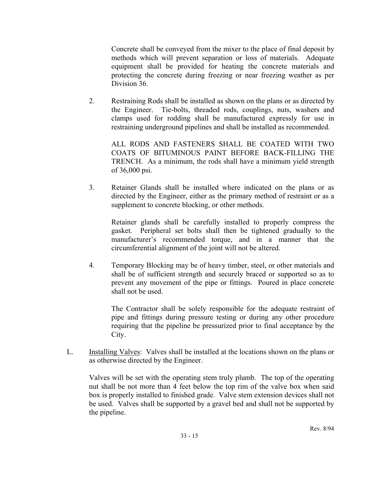Concrete shall be conveyed from the mixer to the place of final deposit by methods which will prevent separation or loss of materials. Adequate equipment shall be provided for heating the concrete materials and protecting the concrete during freezing or near freezing weather as per Division 36.

2. Restraining Rods shall be installed as shown on the plans or as directed by the Engineer. Tie-bolts, threaded rods, couplings, nuts, washers and clamps used for rodding shall be manufactured expressly for use in restraining underground pipelines and shall be installed as recommended.

 ALL RODS AND FASTENERS SHALL BE COATED WITH TWO COATS OF BITUMINOUS PAINT BEFORE BACK-FILLING THE TRENCH. As a minimum, the rods shall have a minimum yield strength of 36,000 psi.

3. Retainer Glands shall be installed where indicated on the plans or as directed by the Engineer, either as the primary method of restraint or as a supplement to concrete blocking, or other methods.

 Retainer glands shall be carefully installed to properly compress the gasket. Peripheral set bolts shall then be tightened gradually to the manufacturer's recommended torque, and in a manner that the circumferential alignment of the joint will not be altered.

4. Temporary Blocking may be of heavy timber, steel, or other materials and shall be of sufficient strength and securely braced or supported so as to prevent any movement of the pipe or fittings. Poured in place concrete shall not be used.

 The Contractor shall be solely responsible for the adequate restraint of pipe and fittings during pressure testing or during any other procedure requiring that the pipeline be pressurized prior to final acceptance by the City.

L. Installing Valves: Valves shall be installed at the locations shown on the plans or as otherwise directed by the Engineer.

Valves will be set with the operating stem truly plumb. The top of the operating nut shall be not more than 4 feet below the top rim of the valve box when said box is properly installed to finished grade. Valve stem extension devices shall not be used. Valves shall be supported by a gravel bed and shall not be supported by the pipeline.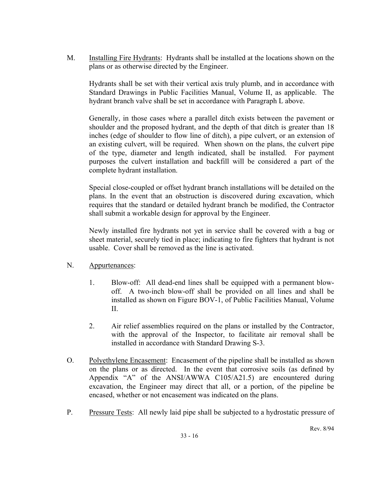M. Installing Fire Hydrants: Hydrants shall be installed at the locations shown on the plans or as otherwise directed by the Engineer.

Hydrants shall be set with their vertical axis truly plumb, and in accordance with Standard Drawings in Public Facilities Manual, Volume II, as applicable. The hydrant branch valve shall be set in accordance with Paragraph L above.

Generally, in those cases where a parallel ditch exists between the pavement or shoulder and the proposed hydrant, and the depth of that ditch is greater than 18 inches (edge of shoulder to flow line of ditch), a pipe culvert, or an extension of an existing culvert, will be required. When shown on the plans, the culvert pipe of the type, diameter and length indicated, shall be installed. For payment purposes the culvert installation and backfill will be considered a part of the complete hydrant installation.

Special close-coupled or offset hydrant branch installations will be detailed on the plans. In the event that an obstruction is discovered during excavation, which requires that the standard or detailed hydrant branch be modified, the Contractor shall submit a workable design for approval by the Engineer.

Newly installed fire hydrants not yet in service shall be covered with a bag or sheet material, securely tied in place; indicating to fire fighters that hydrant is not usable. Cover shall be removed as the line is activated.

## N. Appurtenances:

- 1. Blow-off: All dead-end lines shall be equipped with a permanent blowoff. A two-inch blow-off shall be provided on all lines and shall be installed as shown on Figure BOV-1, of Public Facilities Manual, Volume II.
- 2. Air relief assemblies required on the plans or installed by the Contractor, with the approval of the Inspector, to facilitate air removal shall be installed in accordance with Standard Drawing S-3.
- O. Polyethylene Encasement: Encasement of the pipeline shall be installed as shown on the plans or as directed. In the event that corrosive soils (as defined by Appendix "A" of the ANSI/AWWA C105/A21.5) are encountered during excavation, the Engineer may direct that all, or a portion, of the pipeline be encased, whether or not encasement was indicated on the plans.
- P. Pressure Tests: All newly laid pipe shall be subjected to a hydrostatic pressure of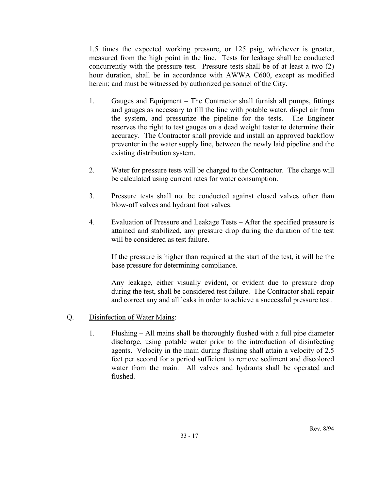1.5 times the expected working pressure, or 125 psig, whichever is greater, measured from the high point in the line. Tests for leakage shall be conducted concurrently with the pressure test. Pressure tests shall be of at least a two (2) hour duration, shall be in accordance with AWWA C600, except as modified herein; and must be witnessed by authorized personnel of the City.

- 1. Gauges and Equipment The Contractor shall furnish all pumps, fittings and gauges as necessary to fill the line with potable water, dispel air from the system, and pressurize the pipeline for the tests. The Engineer reserves the right to test gauges on a dead weight tester to determine their accuracy. The Contractor shall provide and install an approved backflow preventer in the water supply line, between the newly laid pipeline and the existing distribution system.
- 2. Water for pressure tests will be charged to the Contractor. The charge will be calculated using current rates for water consumption.
- 3. Pressure tests shall not be conducted against closed valves other than blow-off valves and hydrant foot valves.
- 4. Evaluation of Pressure and Leakage Tests After the specified pressure is attained and stabilized, any pressure drop during the duration of the test will be considered as test failure.

 If the pressure is higher than required at the start of the test, it will be the base pressure for determining compliance.

 Any leakage, either visually evident, or evident due to pressure drop during the test, shall be considered test failure. The Contractor shall repair and correct any and all leaks in order to achieve a successful pressure test.

- Q. Disinfection of Water Mains:
	- 1. Flushing All mains shall be thoroughly flushed with a full pipe diameter discharge, using potable water prior to the introduction of disinfecting agents. Velocity in the main during flushing shall attain a velocity of 2.5 feet per second for a period sufficient to remove sediment and discolored water from the main. All valves and hydrants shall be operated and flushed.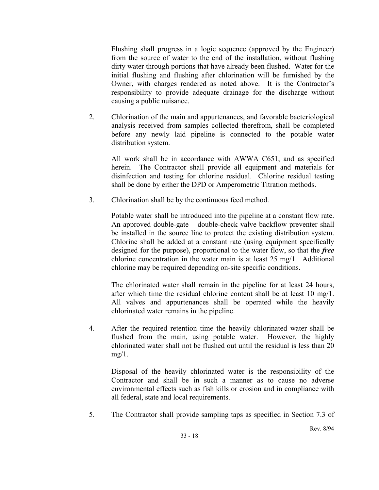Flushing shall progress in a logic sequence (approved by the Engineer) from the source of water to the end of the installation, without flushing dirty water through portions that have already been flushed. Water for the initial flushing and flushing after chlorination will be furnished by the Owner, with charges rendered as noted above. It is the Contractor's responsibility to provide adequate drainage for the discharge without causing a public nuisance.

2. Chlorination of the main and appurtenances, and favorable bacteriological analysis received from samples collected therefrom, shall be completed before any newly laid pipeline is connected to the potable water distribution system.

 All work shall be in accordance with AWWA C651, and as specified herein. The Contractor shall provide all equipment and materials for disinfection and testing for chlorine residual. Chlorine residual testing shall be done by either the DPD or Amperometric Titration methods.

3. Chlorination shall be by the continuous feed method.

 Potable water shall be introduced into the pipeline at a constant flow rate. An approved double-gate – double-check valve backflow preventer shall be installed in the source line to protect the existing distribution system. Chlorine shall be added at a constant rate (using equipment specifically designed for the purpose), proportional to the water flow, so that the *free* chlorine concentration in the water main is at least 25 mg/1. Additional chlorine may be required depending on-site specific conditions.

 The chlorinated water shall remain in the pipeline for at least 24 hours, after which time the residual chlorine content shall be at least 10 mg/1. All valves and appurtenances shall be operated while the heavily chlorinated water remains in the pipeline.

4. After the required retention time the heavily chlorinated water shall be flushed from the main, using potable water. However, the highly chlorinated water shall not be flushed out until the residual is less than 20  $mg/1$ .

 Disposal of the heavily chlorinated water is the responsibility of the Contractor and shall be in such a manner as to cause no adverse environmental effects such as fish kills or erosion and in compliance with all federal, state and local requirements.

5. The Contractor shall provide sampling taps as specified in Section 7.3 of

Rev. 8/94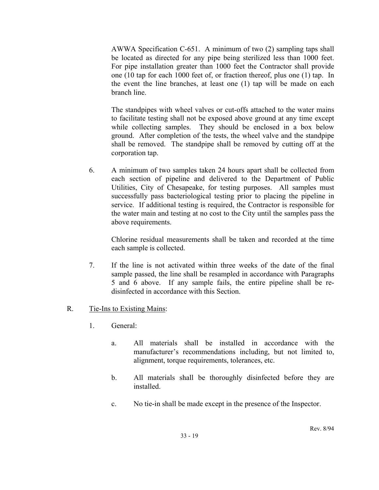AWWA Specification C-651. A minimum of two (2) sampling taps shall be located as directed for any pipe being sterilized less than 1000 feet. For pipe installation greater than 1000 feet the Contractor shall provide one (10 tap for each 1000 feet of, or fraction thereof, plus one (1) tap. In the event the line branches, at least one (1) tap will be made on each branch line.

The standpipes with wheel valves or cut-offs attached to the water mains to facilitate testing shall not be exposed above ground at any time except while collecting samples. They should be enclosed in a box below ground. After completion of the tests, the wheel valve and the standpipe shall be removed. The standpipe shall be removed by cutting off at the corporation tap.

6. A minimum of two samples taken 24 hours apart shall be collected from each section of pipeline and delivered to the Department of Public Utilities, City of Chesapeake, for testing purposes. All samples must successfully pass bacteriological testing prior to placing the pipeline in service. If additional testing is required, the Contractor is responsible for the water main and testing at no cost to the City until the samples pass the above requirements.

 Chlorine residual measurements shall be taken and recorded at the time each sample is collected.

7. If the line is not activated within three weeks of the date of the final sample passed, the line shall be resampled in accordance with Paragraphs 5 and 6 above. If any sample fails, the entire pipeline shall be redisinfected in accordance with this Section.

## R. Tie-Ins to Existing Mains:

- 1. General:
	- a. All materials shall be installed in accordance with the manufacturer's recommendations including, but not limited to, alignment, torque requirements, tolerances, etc.
	- b. All materials shall be thoroughly disinfected before they are installed.
	- c. No tie-in shall be made except in the presence of the Inspector.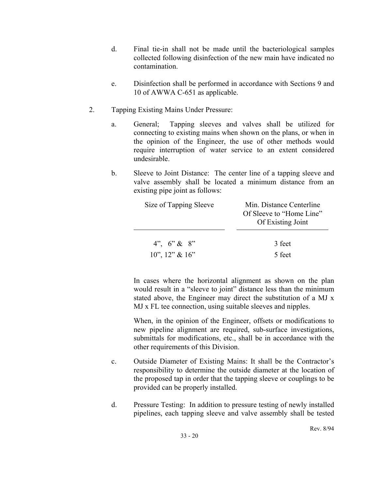- d. Final tie-in shall not be made until the bacteriological samples collected following disinfection of the new main have indicated no contamination.
- e. Disinfection shall be performed in accordance with Sections 9 and 10 of AWWA C-651 as applicable.
- 2. Tapping Existing Mains Under Pressure:
	- a. General; Tapping sleeves and valves shall be utilized for connecting to existing mains when shown on the plans, or when in the opinion of the Engineer, the use of other methods would require interruption of water service to an extent considered undesirable.
	- b. Sleeve to Joint Distance: The center line of a tapping sleeve and valve assembly shall be located a minimum distance from an existing pipe joint as follows:

| Size of Tapping Sleeve                                       | Min. Distance Centerline<br>Of Sleeve to "Home Line"<br>Of Existing Joint |
|--------------------------------------------------------------|---------------------------------------------------------------------------|
| $4^{\prime\prime}$ , $6^{\prime\prime}$ & $8^{\prime\prime}$ | 3 feet                                                                    |
| $10$ ", $12$ " & $16$ "                                      | 5 feet                                                                    |

In cases where the horizontal alignment as shown on the plan would result in a "sleeve to joint" distance less than the minimum stated above, the Engineer may direct the substitution of a MJ x MJ x FL tee connection, using suitable sleeves and nipples.

When, in the opinion of the Engineer, offsets or modifications to new pipeline alignment are required, sub-surface investigations, submittals for modifications, etc., shall be in accordance with the other requirements of this Division.

- c. Outside Diameter of Existing Mains: It shall be the Contractor's responsibility to determine the outside diameter at the location of the proposed tap in order that the tapping sleeve or couplings to be provided can be properly installed.
- d. Pressure Testing: In addition to pressure testing of newly installed pipelines, each tapping sleeve and valve assembly shall be tested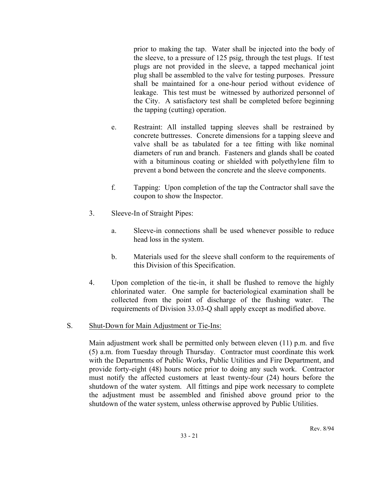prior to making the tap. Water shall be injected into the body of the sleeve, to a pressure of 125 psig, through the test plugs. If test plugs are not provided in the sleeve, a tapped mechanical joint plug shall be assembled to the valve for testing purposes. Pressure shall be maintained for a one-hour period without evidence of leakage. This test must be witnessed by authorized personnel of the City. A satisfactory test shall be completed before beginning the tapping (cutting) operation.

- e. Restraint: All installed tapping sleeves shall be restrained by concrete buttresses. Concrete dimensions for a tapping sleeve and valve shall be as tabulated for a tee fitting with like nominal diameters of run and branch. Fasteners and glands shall be coated with a bituminous coating or shielded with polyethylene film to prevent a bond between the concrete and the sleeve components.
- f. Tapping: Upon completion of the tap the Contractor shall save the coupon to show the Inspector.
- 3. Sleeve-In of Straight Pipes:
	- a. Sleeve-in connections shall be used whenever possible to reduce head loss in the system.
	- b. Materials used for the sleeve shall conform to the requirements of this Division of this Specification.
- 4. Upon completion of the tie-in, it shall be flushed to remove the highly chlorinated water. One sample for bacteriological examination shall be collected from the point of discharge of the flushing water. The requirements of Division 33.03-Q shall apply except as modified above.

## S. Shut-Down for Main Adjustment or Tie-Ins:

 Main adjustment work shall be permitted only between eleven (11) p.m. and five (5) a.m. from Tuesday through Thursday. Contractor must coordinate this work with the Departments of Public Works, Public Utilities and Fire Department, and provide forty-eight (48) hours notice prior to doing any such work. Contractor must notify the affected customers at least twenty-four (24) hours before the shutdown of the water system. All fittings and pipe work necessary to complete the adjustment must be assembled and finished above ground prior to the shutdown of the water system, unless otherwise approved by Public Utilities.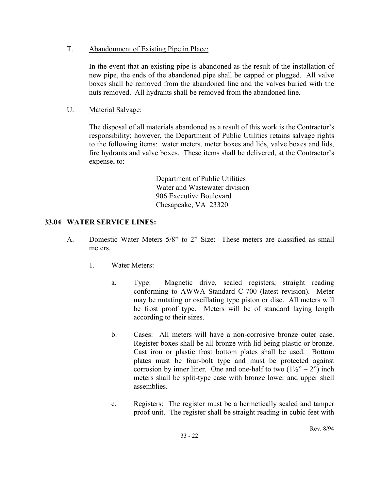### T. Abandonment of Existing Pipe in Place:

 In the event that an existing pipe is abandoned as the result of the installation of new pipe, the ends of the abandoned pipe shall be capped or plugged. All valve boxes shall be removed from the abandoned line and the valves buried with the nuts removed. All hydrants shall be removed from the abandoned line.

## U. Material Salvage:

The disposal of all materials abandoned as a result of this work is the Contractor's responsibility; however, the Department of Public Utilities retains salvage rights to the following items: water meters, meter boxes and lids, valve boxes and lids, fire hydrants and valve boxes. These items shall be delivered, at the Contractor's expense, to:

> Department of Public Utilities Water and Wastewater division 906 Executive Boulevard Chesapeake, VA 23320

## **33.04 WATER SERVICE LINES:**

- A. Domestic Water Meters 5/8" to 2" Size: These meters are classified as small meters.
	- 1. Water Meters:
		- a. Type: Magnetic drive, sealed registers, straight reading conforming to AWWA Standard C-700 (latest revision). Meter may be nutating or oscillating type piston or disc. All meters will be frost proof type. Meters will be of standard laying length according to their sizes.
		- b. Cases: All meters will have a non-corrosive bronze outer case. Register boxes shall be all bronze with lid being plastic or bronze. Cast iron or plastic frost bottom plates shall be used. Bottom plates must be four-bolt type and must be protected against corrosion by inner liner. One and one-half to two  $(1\frac{1}{2} - 2)$  inch meters shall be split-type case with bronze lower and upper shell assemblies.
		- c. Registers: The register must be a hermetically sealed and tamper proof unit. The register shall be straight reading in cubic feet with

Rev. 8/94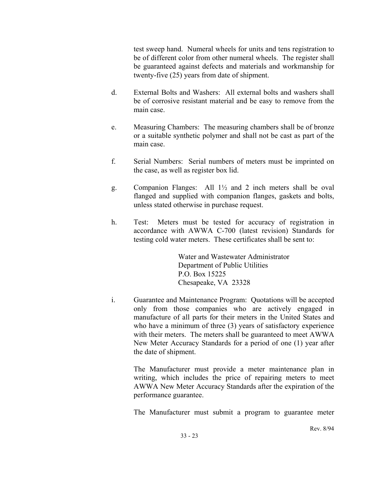test sweep hand. Numeral wheels for units and tens registration to be of different color from other numeral wheels. The register shall be guaranteed against defects and materials and workmanship for twenty-five (25) years from date of shipment.

- d. External Bolts and Washers: All external bolts and washers shall be of corrosive resistant material and be easy to remove from the main case.
- e. Measuring Chambers: The measuring chambers shall be of bronze or a suitable synthetic polymer and shall not be cast as part of the main case.
- f. Serial Numbers: Serial numbers of meters must be imprinted on the case, as well as register box lid.
- g. Companion Flanges: All 1½ and 2 inch meters shall be oval flanged and supplied with companion flanges, gaskets and bolts, unless stated otherwise in purchase request.
- h. Test: Meters must be tested for accuracy of registration in accordance with AWWA C-700 (latest revision) Standards for testing cold water meters. These certificates shall be sent to:

 Water and Wastewater Administrator Department of Public Utilities P.O. Box 15225 Chesapeake, VA 23328

i. Guarantee and Maintenance Program: Quotations will be accepted only from those companies who are actively engaged in manufacture of all parts for their meters in the United States and who have a minimum of three (3) years of satisfactory experience with their meters. The meters shall be guaranteed to meet AWWA New Meter Accuracy Standards for a period of one (1) year after the date of shipment.

> The Manufacturer must provide a meter maintenance plan in writing, which includes the price of repairing meters to meet AWWA New Meter Accuracy Standards after the expiration of the performance guarantee.

> The Manufacturer must submit a program to guarantee meter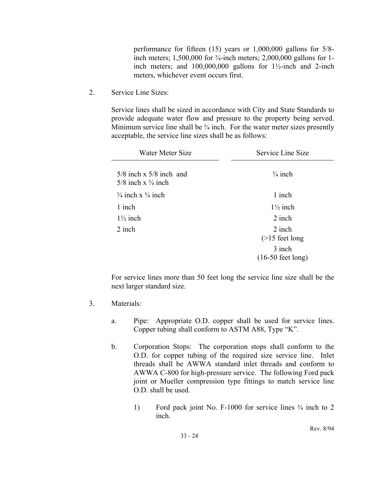performance for fifteen (15) years or 1,000,000 gallons for 5/8 inch meters; 1,500,000 for <sup>3</sup>/<sub>4</sub>-inch meters; 2,000,000 gallons for 1inch meters; and  $100,000,000$  gallons for  $1\frac{1}{2}$ -inch and 2-inch meters, whichever event occurs first.

2. Service Line Sizes:

Service lines shall be sized in accordance with City and State Standards to provide adequate water flow and pressure to the property being served. Minimum service line shall be  $\frac{3}{4}$  inch. For the water meter sizes presently acceptable, the service line sizes shall be as follows:

| Water Meter Size                                               | Service Line Size                     |
|----------------------------------------------------------------|---------------------------------------|
| $5/8$ inch x $5/8$ inch and<br>$5/8$ inch x $\frac{3}{4}$ inch | $\frac{3}{4}$ inch                    |
| $\frac{3}{4}$ inch x $\frac{3}{4}$ inch                        | 1 inch                                |
| 1 inch                                                         | $1\frac{1}{2}$ inch                   |
| $1\frac{1}{2}$ inch                                            | 2 inch                                |
| 2 inch                                                         | 2 inch<br>$($ >15 feet long           |
|                                                                | 3 inch<br>$(16-50 \text{ feet long})$ |

For service lines more than 50 feet long the service line size shall be the next larger standard size.

- 3. Materials:
	- a. Pipe: Appropriate O.D. copper shall be used for service lines. Copper tubing shall conform to ASTM A88, Type "K".
	- b. Corporation Stops: The corporation stops shall conform to the O.D. for copper tubing of the required size service line. Inlet threads shall be AWWA standard inlet threads and conform to AWWA C-800 for high-pressure service. The following Ford pack joint or Mueller compression type fittings to match service line O.D. shall be used.
		- 1) Ford pack joint No. F-1000 for service lines ¾ inch to 2 inch.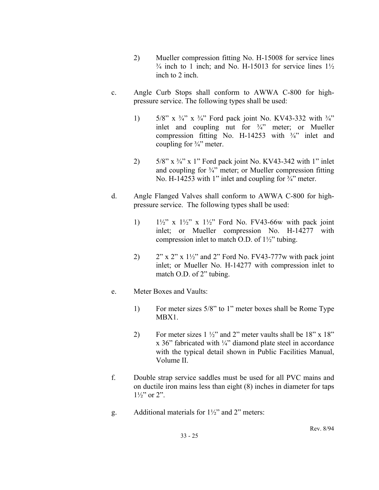- 2) Mueller compression fitting No. H-15008 for service lines  $\frac{3}{4}$  inch to 1 inch; and No. H-15013 for service lines  $1\frac{1}{2}$ inch to 2 inch.
- c. Angle Curb Stops shall conform to AWWA C-800 for highpressure service. The following types shall be used:
	- 1) 5/8" x  $\frac{3}{4}$ " x  $\frac{3}{4}$ " Ford pack joint No. KV43-332 with  $\frac{3}{4}$ " inlet and coupling nut for ¾" meter; or Mueller compression fitting No. H-14253 with ¾" inlet and coupling for ¾" meter.
	- 2)  $5/8$ " x  $\frac{3}{4}$ " x 1" Ford pack joint No. KV43-342 with 1" inlet and coupling for  $\frac{3}{4}$ " meter; or Mueller compression fitting No. H-14253 with 1" inlet and coupling for  $\frac{3}{4}$ " meter.
- d. Angle Flanged Valves shall conform to AWWA C-800 for highpressure service. The following types shall be used:
	- 1)  $1\frac{1}{2}$ " x  $1\frac{1}{2}$ " x  $1\frac{1}{2}$ " Ford No. FV43-66w with pack joint inlet; or Mueller compression No. H-14277 with compression inlet to match O.D. of 1½" tubing.
	- 2)  $2^{\prime\prime}$  x 2" x 1 $\frac{1}{2}$ " and 2" Ford No. FV43-777w with pack joint inlet; or Mueller No. H-14277 with compression inlet to match O.D. of 2" tubing.
- e. Meter Boxes and Vaults:
	- 1) For meter sizes 5/8" to 1" meter boxes shall be Rome Type MBX1.
	- 2) For meter sizes  $1\frac{1}{2}$  and 2" meter vaults shall be  $18$ " x  $18$ " x 36" fabricated with ¼" diamond plate steel in accordance with the typical detail shown in Public Facilities Manual, Volume II.
- f. Double strap service saddles must be used for all PVC mains and on ductile iron mains less than eight (8) inches in diameter for taps  $1\frac{1}{2}$ " or 2".
- g. Additional materials for 1½" and 2" meters: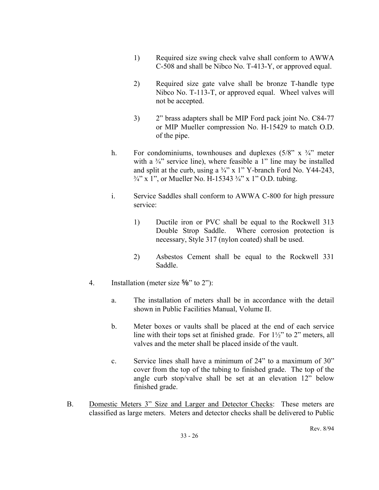- 1) Required size swing check valve shall conform to AWWA C-508 and shall be Nibco No. T-413-Y, or approved equal.
- 2) Required size gate valve shall be bronze T-handle type Nibco No. T-113-T, or approved equal. Wheel valves will not be accepted.
- 3) 2" brass adapters shall be MIP Ford pack joint No. C84-77 or MIP Mueller compression No. H-15429 to match O.D. of the pipe.
- h. For condominiums, townhouses and duplexes  $(5/8" \times 3/4"$  meter with a  $\frac{3}{4}$  service line), where feasible a 1<sup>"</sup> line may be installed and split at the curb, using a  $\frac{3}{4}$ " x 1" Y-branch Ford No. Y44-243,  $\frac{3}{4}$ " x 1", or Mueller No. H-15343  $\frac{3}{4}$ " x 1" O.D. tubing.
- i. Service Saddles shall conform to AWWA C-800 for high pressure service:
	- 1) Ductile iron or PVC shall be equal to the Rockwell 313 Double Strop Saddle. Where corrosion protection is necessary, Style 317 (nylon coated) shall be used.
	- 2) Asbestos Cement shall be equal to the Rockwell 331 Saddle.
- 4. Installation (meter size  $\frac{5}{8}$ " to 2"):
	- a. The installation of meters shall be in accordance with the detail shown in Public Facilities Manual, Volume II.
	- b. Meter boxes or vaults shall be placed at the end of each service line with their tops set at finished grade. For  $1\frac{1}{2}$  to 2" meters, all valves and the meter shall be placed inside of the vault.
	- c. Service lines shall have a minimum of 24" to a maximum of 30" cover from the top of the tubing to finished grade. The top of the angle curb stop/valve shall be set at an elevation 12" below finished grade.
- B. Domestic Meters 3" Size and Larger and Detector Checks: These meters are classified as large meters. Meters and detector checks shall be delivered to Public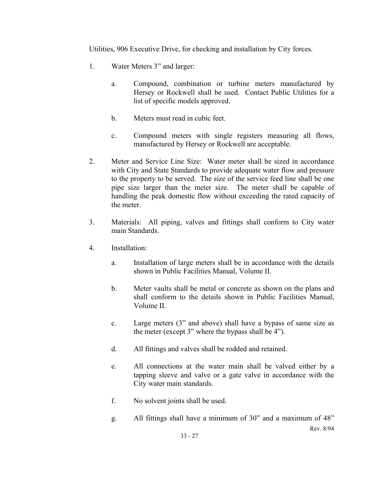Utilities, 906 Executive Drive, for checking and installation by City forces.

- 1. Water Meters 3" and larger:
	- a. Compound, combination or turbine meters manufactured by Hersey or Rockwell shall be used. Contact Public Utilities for a list of specific models approved.
	- b. Meters must read in cubic feet.
	- c. Compound meters with single registers measuring all flows, manufactured by Hersey or Rockwell are acceptable.
- 2. Meter and Service Line Size: Water meter shall be sized in accordance with City and State Standards to provide adequate water flow and pressure to the property to be served. The size of the service feed line shall be one pipe size larger than the meter size. The meter shall be capable of handling the peak domestic flow without exceeding the rated capacity of the meter.
- 3. Materials: All piping, valves and fittings shall conform to City water main Standards.
- 4. Installation:
	- a. Installation of large meters shall be in accordance with the details shown in Public Facilities Manual, Volume II.
	- b. Meter vaults shall be metal or concrete as shown on the plans and shall conform to the details shown in Public Facilities Manual, Volume II.
	- c. Large meters (3" and above) shall have a bypass of same size as the meter (except 3" where the bypass shall be 4").
	- d. All fittings and valves shall be rodded and retained.
	- e. All connections at the water main shall be valved either by a tapping sleeve and valve or a gate valve in accordance with the City water main standards.
	- f. No solvent joints shall be used.
	- Rev. 8/94 g. All fittings shall have a minimum of 30" and a maximum of 48"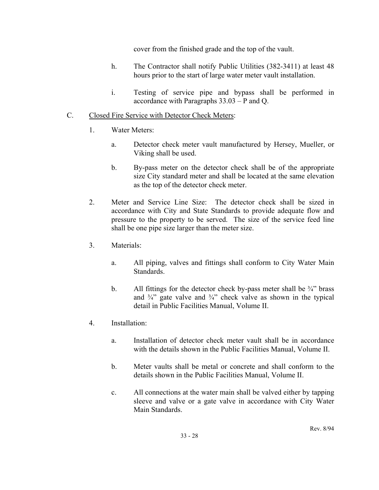cover from the finished grade and the top of the vault.

- h. The Contractor shall notify Public Utilities (382-3411) at least 48 hours prior to the start of large water meter vault installation.
- i. Testing of service pipe and bypass shall be performed in accordance with Paragraphs 33.03 – P and Q.
- C. Closed Fire Service with Detector Check Meters:
	- 1. Water Meters:
		- a. Detector check meter vault manufactured by Hersey, Mueller, or Viking shall be used.
		- b. By-pass meter on the detector check shall be of the appropriate size City standard meter and shall be located at the same elevation as the top of the detector check meter.
	- 2. Meter and Service Line Size: The detector check shall be sized in accordance with City and State Standards to provide adequate flow and pressure to the property to be served. The size of the service feed line shall be one pipe size larger than the meter size.
	- 3. Materials:
		- a. All piping, valves and fittings shall conform to City Water Main **Standards**
		- b. All fittings for the detector check by-pass meter shall be  $\frac{3}{4}$  brass and  $\frac{3}{4}$  gate valve and  $\frac{3}{4}$  check valve as shown in the typical detail in Public Facilities Manual, Volume II.
	- 4. Installation:
		- a. Installation of detector check meter vault shall be in accordance with the details shown in the Public Facilities Manual, Volume II.
		- b. Meter vaults shall be metal or concrete and shall conform to the details shown in the Public Facilities Manual, Volume II.
		- c. All connections at the water main shall be valved either by tapping sleeve and valve or a gate valve in accordance with City Water Main Standards.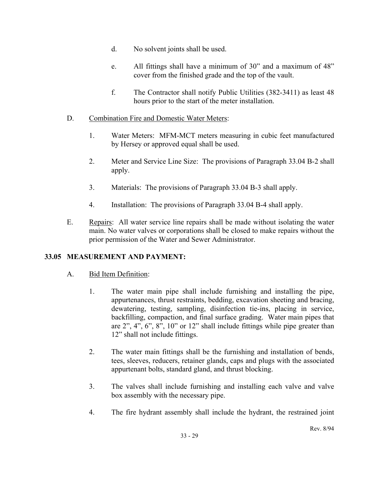- d. No solvent joints shall be used.
- e. All fittings shall have a minimum of 30" and a maximum of 48" cover from the finished grade and the top of the vault.
- f. The Contractor shall notify Public Utilities (382-3411) as least 48 hours prior to the start of the meter installation.
- D. Combination Fire and Domestic Water Meters:
	- 1. Water Meters: MFM-MCT meters measuring in cubic feet manufactured by Hersey or approved equal shall be used.
	- 2. Meter and Service Line Size: The provisions of Paragraph 33.04 B-2 shall apply.
	- 3. Materials: The provisions of Paragraph 33.04 B-3 shall apply.
	- 4. Installation: The provisions of Paragraph 33.04 B-4 shall apply.
- E. Repairs: All water service line repairs shall be made without isolating the water main. No water valves or corporations shall be closed to make repairs without the prior permission of the Water and Sewer Administrator.

## **33.05 MEASUREMENT AND PAYMENT:**

## A. Bid Item Definition:

- 1. The water main pipe shall include furnishing and installing the pipe, appurtenances, thrust restraints, bedding, excavation sheeting and bracing, dewatering, testing, sampling, disinfection tie-ins, placing in service, backfilling, compaction, and final surface grading. Water main pipes that are 2", 4", 6", 8", 10" or 12" shall include fittings while pipe greater than 12" shall not include fittings.
- 2. The water main fittings shall be the furnishing and installation of bends, tees, sleeves, reducers, retainer glands, caps and plugs with the associated appurtenant bolts, standard gland, and thrust blocking.
- 3. The valves shall include furnishing and installing each valve and valve box assembly with the necessary pipe.
- 4. The fire hydrant assembly shall include the hydrant, the restrained joint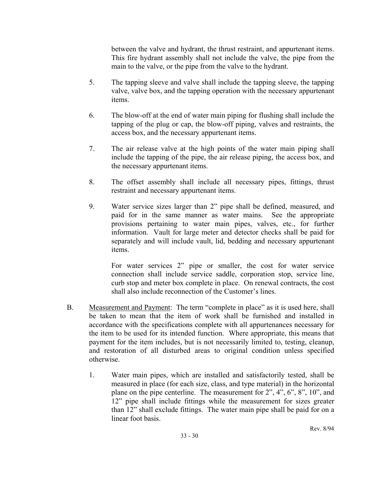between the valve and hydrant, the thrust restraint, and appurtenant items. This fire hydrant assembly shall not include the valve, the pipe from the main to the valve, or the pipe from the valve to the hydrant.

- 5. The tapping sleeve and valve shall include the tapping sleeve, the tapping valve, valve box, and the tapping operation with the necessary appurtenant items.
- 6. The blow-off at the end of water main piping for flushing shall include the tapping of the plug or cap, the blow-off piping, valves and restraints, the access box, and the necessary appurtenant items.
- 7. The air release valve at the high points of the water main piping shall include the tapping of the pipe, the air release piping, the access box, and the necessary appurtenant items.
- 8. The offset assembly shall include all necessary pipes, fittings, thrust restraint and necessary appurtenant items.
- 9. Water service sizes larger than 2" pipe shall be defined, measured, and paid for in the same manner as water mains. See the appropriate provisions pertaining to water main pipes, valves, etc., for further information. Vault for large meter and detector checks shall be paid for separately and will include vault, lid, bedding and necessary appurtenant items.

 For water services 2" pipe or smaller, the cost for water service connection shall include service saddle, corporation stop, service line, curb stop and meter box complete in place. On renewal contracts, the cost shall also include reconnection of the Customer's lines.

- B. Measurement and Payment: The term "complete in place" as it is used here, shall be taken to mean that the item of work shall be furnished and installed in accordance with the specifications complete with all appurtenances necessary for the item to be used for its intended function. Where appropriate, this means that payment for the item includes, but is not necessarily limited to, testing, cleanup, and restoration of all disturbed areas to original condition unless specified otherwise.
	- 1. Water main pipes, which are installed and satisfactorily tested, shall be measured in place (for each size, class, and type material) in the horizontal plane on the pipe centerline. The measurement for 2", 4", 6", 8", 10", and 12" pipe shall include fittings while the measurement for sizes greater than 12" shall exclude fittings. The water main pipe shall be paid for on a linear foot basis.